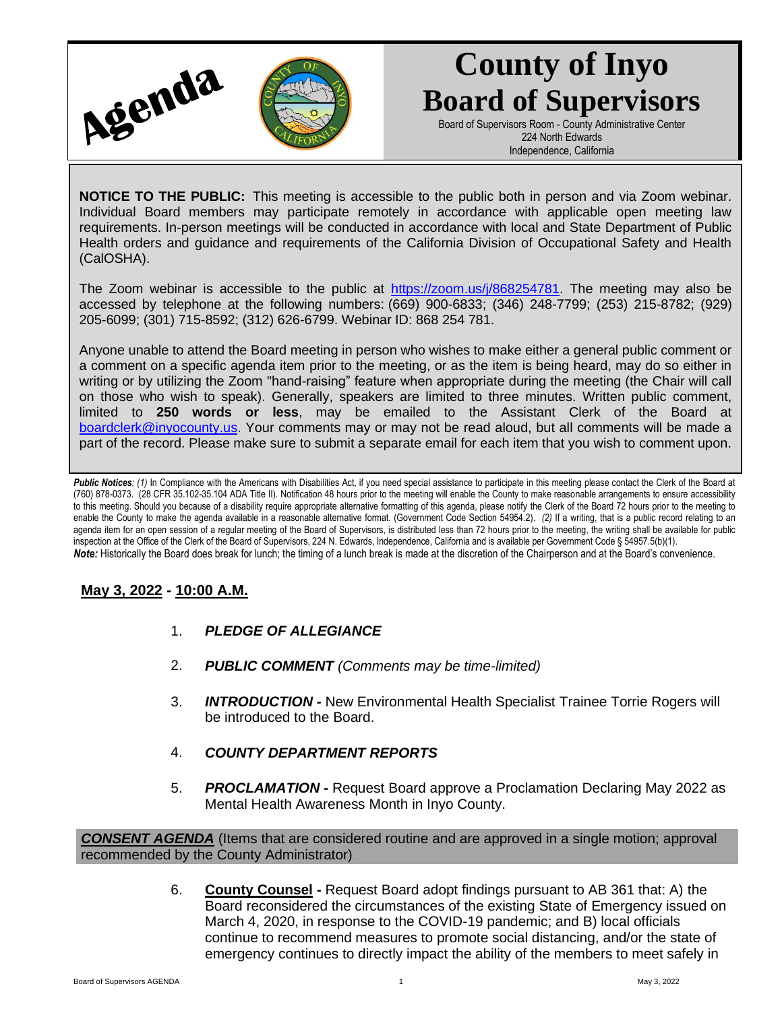

## **County of Inyo Board of Supervisors**

Board of Supervisors Room - County Administrative Center 224 North Edwards Independence, California

**NOTICE TO THE PUBLIC:** This meeting is accessible to the public both in person and via Zoom webinar. Individual Board members may participate remotely in accordance with applicable open meeting law requirements. In-person meetings will be conducted in accordance with local and State Department of Public Health orders and guidance and requirements of the California Division of Occupational Safety and Health (CalOSHA).

The Zoom webinar is accessible to the public at [https://zoom.us/j/868254781.](https://zoom.us/j/868254781) The meeting may also be accessed by telephone at the following numbers: (669) 900-6833; (346) 248-7799; (253) 215-8782; (929) 205-6099; (301) 715-8592; (312) 626-6799. Webinar ID: 868 254 781.

Anyone unable to attend the Board meeting in person who wishes to make either a general public comment or a comment on a specific agenda item prior to the meeting, or as the item is being heard, may do so either in writing or by utilizing the Zoom "hand-raising" feature when appropriate during the meeting (the Chair will call on those who wish to speak). Generally, speakers are limited to three minutes. Written public comment, limited to **250 words or less**, may be emailed to the Assistant Clerk of the Board at [boardclerk@inyocounty.us.](mailto:boardclerk@inyocounty.us) Your comments may or may not be read aloud, but all comments will be made a part of the record. Please make sure to submit a separate email for each item that you wish to comment upon.

Public Notices: (1) In Compliance with the Americans with Disabilities Act, if you need special assistance to participate in this meeting please contact the Clerk of the Board at (760) 878-0373. (28 CFR 35.102-35.104 ADA Title II). Notification 48 hours prior to the meeting will enable the County to make reasonable arrangements to ensure accessibility to this meeting. Should you because of a disability require appropriate alternative formatting of this agenda, please notify the Clerk of the Board 72 hours prior to the meeting to enable the County to make the agenda available in a reasonable alternative format. (Government Code Section 54954.2). *(2)* If a writing, that is a public record relating to an agenda item for an open session of a regular meeting of the Board of Supervisors, is distributed less than 72 hours prior to the meeting, the writing shall be available for public inspection at the Office of the Clerk of the Board of Supervisors, 224 N. Edwards, Independence, California and is available per Government Code § 54957.5(b)(1). *Note:* Historically the Board does break for lunch; the timing of a lunch break is made at the discretion of the Chairperson and at the Board's convenience.

## **May 3, 2022 - 10:00 A.M.**

- 1. *PLEDGE OF ALLEGIANCE*
- 2. *PUBLIC COMMENT (Comments may be time-limited)*
- 3. *INTRODUCTION -* New Environmental Health Specialist Trainee Torrie Rogers will be introduced to the Board.
- 4. *COUNTY DEPARTMENT REPORTS*
- 5. *PROCLAMATION -* Request Board approve a Proclamation Declaring May 2022 as Mental Health Awareness Month in Inyo County.

*CONSENT AGENDA* (Items that are considered routine and are approved in a single motion; approval recommended by the County Administrator)

> 6. **County Counsel -** Request Board adopt findings pursuant to AB 361 that: A) the Board reconsidered the circumstances of the existing State of Emergency issued on March 4, 2020, in response to the COVID-19 pandemic; and B) local officials continue to recommend measures to promote social distancing, and/or the state of emergency continues to directly impact the ability of the members to meet safely in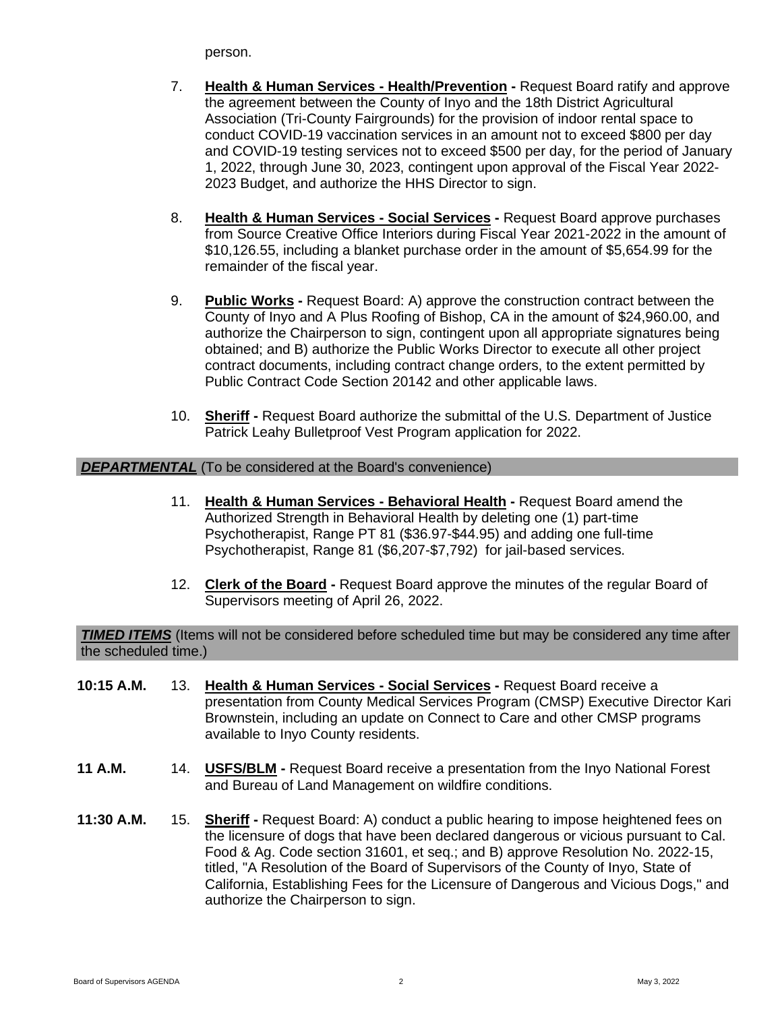person.

- 7. **Health & Human Services - Health/Prevention -** Request Board ratify and approve the agreement between the County of Inyo and the 18th District Agricultural Association (Tri-County Fairgrounds) for the provision of indoor rental space to conduct COVID-19 vaccination services in an amount not to exceed \$800 per day and COVID-19 testing services not to exceed \$500 per day, for the period of January 1, 2022, through June 30, 2023, contingent upon approval of the Fiscal Year 2022- 2023 Budget, and authorize the HHS Director to sign.
- 8. **Health & Human Services - Social Services -** Request Board approve purchases from Source Creative Office Interiors during Fiscal Year 2021-2022 in the amount of \$10,126.55, including a blanket purchase order in the amount of \$5,654.99 for the remainder of the fiscal year.
- 9. **Public Works -** Request Board: A) approve the construction contract between the County of Inyo and A Plus Roofing of Bishop, CA in the amount of \$24,960.00, and authorize the Chairperson to sign, contingent upon all appropriate signatures being obtained; and B) authorize the Public Works Director to execute all other project contract documents, including contract change orders, to the extent permitted by Public Contract Code Section 20142 and other applicable laws.
- 10. **Sheriff -** Request Board authorize the submittal of the U.S. Department of Justice Patrick Leahy Bulletproof Vest Program application for 2022.

## *DEPARTMENTAL* (To be considered at the Board's convenience)

- 11. **Health & Human Services - Behavioral Health -** Request Board amend the Authorized Strength in Behavioral Health by deleting one (1) part-time Psychotherapist, Range PT 81 (\$36.97-\$44.95) and adding one full-time Psychotherapist, Range 81 (\$6,207-\$7,792) for jail-based services.
- 12. **Clerk of the Board -** Request Board approve the minutes of the regular Board of Supervisors meeting of April 26, 2022.

**TIMED ITEMS** (Items will not be considered before scheduled time but may be considered any time after the scheduled time.)

- **10:15 A.M.** 13. **Health & Human Services - Social Services -** Request Board receive a presentation from County Medical Services Program (CMSP) Executive Director Kari Brownstein, including an update on Connect to Care and other CMSP programs available to Inyo County residents.
- **11 A.M.** 14. **USFS/BLM -** Request Board receive a presentation from the Inyo National Forest and Bureau of Land Management on wildfire conditions.
- **11:30 A.M.** 15. **Sheriff -** Request Board: A) conduct a public hearing to impose heightened fees on the licensure of dogs that have been declared dangerous or vicious pursuant to Cal. Food & Ag. Code section 31601, et seq.; and B) approve Resolution No. 2022-15, titled, "A Resolution of the Board of Supervisors of the County of Inyo, State of California, Establishing Fees for the Licensure of Dangerous and Vicious Dogs," and authorize the Chairperson to sign.